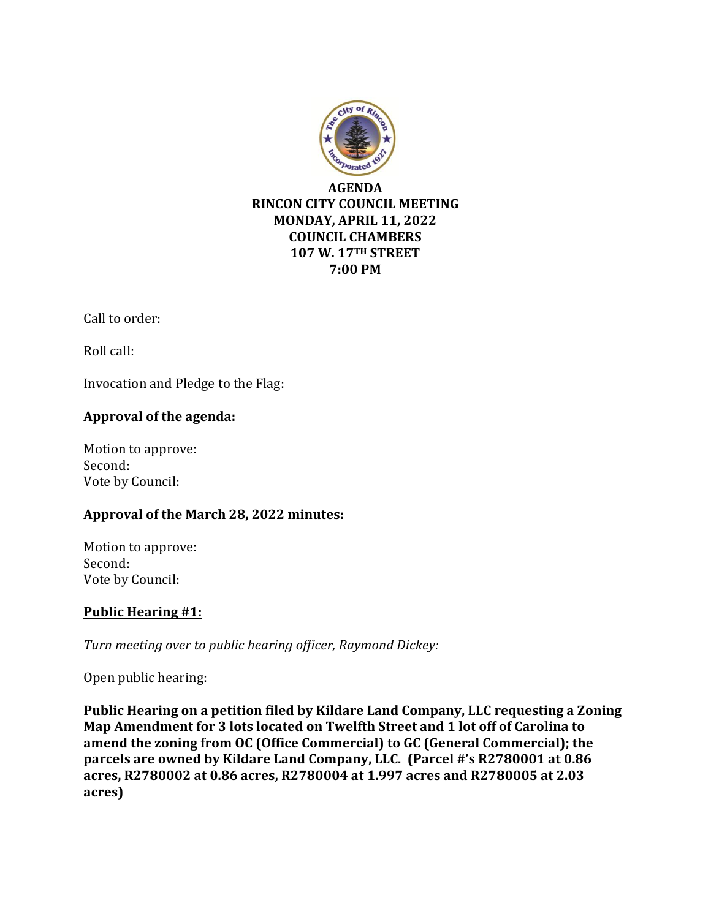

Call to order:

Roll call:

Invocation and Pledge to the Flag:

# **Approval of the agenda:**

Motion to approve: Second: Vote by Council:

## **Approval of the March 28, 2022 minutes:**

Motion to approve: Second: Vote by Council:

# **Public Hearing #1:**

*Turn meeting over to public hearing officer, Raymond Dickey:*

Open public hearing:

**Public Hearing on a petition filed by Kildare Land Company, LLC requesting a Zoning Map Amendment for 3 lots located on Twelfth Street and 1 lot off of Carolina to amend the zoning from OC (Office Commercial) to GC (General Commercial); the parcels are owned by Kildare Land Company, LLC. (Parcel #'s R2780001 at 0.86 acres, R2780002 at 0.86 acres, R2780004 at 1.997 acres and R2780005 at 2.03 acres)**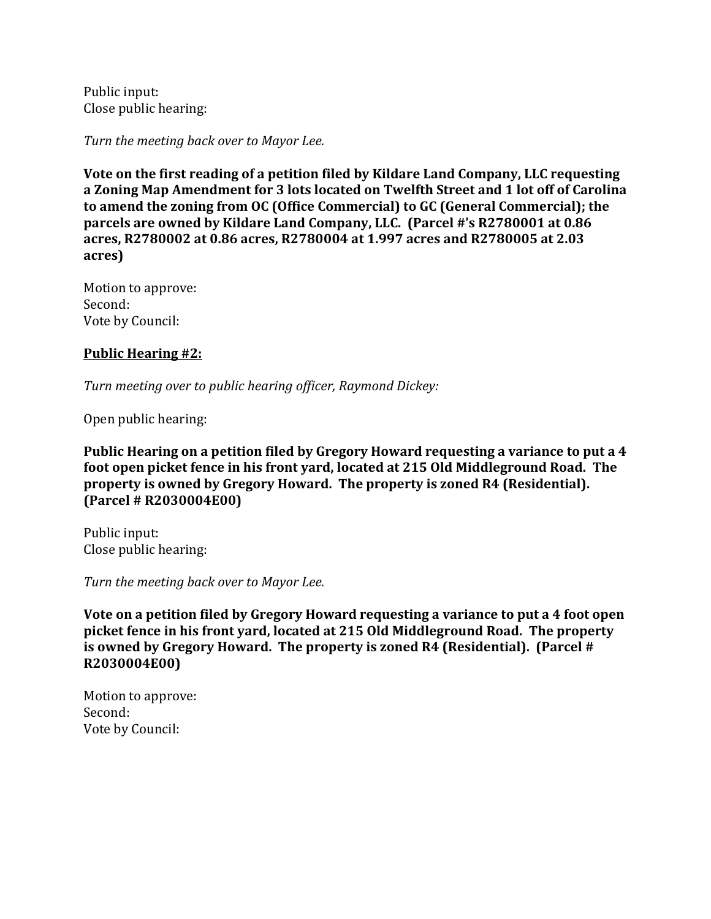Public input: Close public hearing:

*Turn the meeting back over to Mayor Lee.*

**Vote on the first reading of a petition filed by Kildare Land Company, LLC requesting a Zoning Map Amendment for 3 lots located on Twelfth Street and 1 lot off of Carolina to amend the zoning from OC (Office Commercial) to GC (General Commercial); the parcels are owned by Kildare Land Company, LLC. (Parcel #'s R2780001 at 0.86 acres, R2780002 at 0.86 acres, R2780004 at 1.997 acres and R2780005 at 2.03 acres)**

Motion to approve: Second: Vote by Council:

## **Public Hearing #2:**

*Turn meeting over to public hearing officer, Raymond Dickey:*

Open public hearing:

**Public Hearing on a petition filed by Gregory Howard requesting a variance to put a 4 foot open picket fence in his front yard, located at 215 Old Middleground Road. The property is owned by Gregory Howard. The property is zoned R4 (Residential). (Parcel # R2030004E00)**

Public input: Close public hearing:

*Turn the meeting back over to Mayor Lee.*

**Vote on a petition filed by Gregory Howard requesting a variance to put a 4 foot open picket fence in his front yard, located at 215 Old Middleground Road. The property is owned by Gregory Howard. The property is zoned R4 (Residential). (Parcel # R2030004E00)**

Motion to approve: Second: Vote by Council: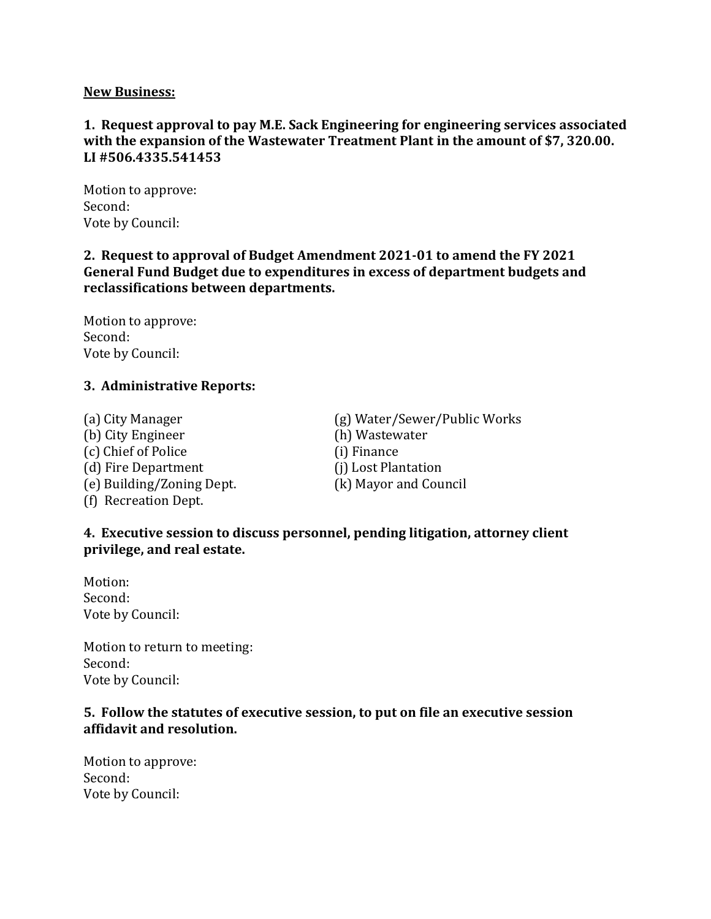#### **New Business:**

## **1. Request approval to pay M.E. Sack Engineering for engineering services associated with the expansion of the Wastewater Treatment Plant in the amount of \$7, 320.00. LI #506.4335.541453**

Motion to approve: Second: Vote by Council:

#### **2. Request to approval of Budget Amendment 2021-01 to amend the FY 2021 General Fund Budget due to expenditures in excess of department budgets and reclassifications between departments.**

Motion to approve: Second: Vote by Council:

#### **3. Administrative Reports:**

(b) City Engineer (h) Wastewater (c) Chief of Police (i) Finance (d) Fire Department (j) Lost Plantation (e) Building/Zoning Dept. (k) Mayor and Council (f) Recreation Dept.

(a) City Manager (g) Water/Sewer/Public Works

#### **4. Executive session to discuss personnel, pending litigation, attorney client privilege, and real estate.**

Motion: Second: Vote by Council:

Motion to return to meeting: Second: Vote by Council:

#### **5. Follow the statutes of executive session, to put on file an executive session affidavit and resolution.**

Motion to approve: Second: Vote by Council: